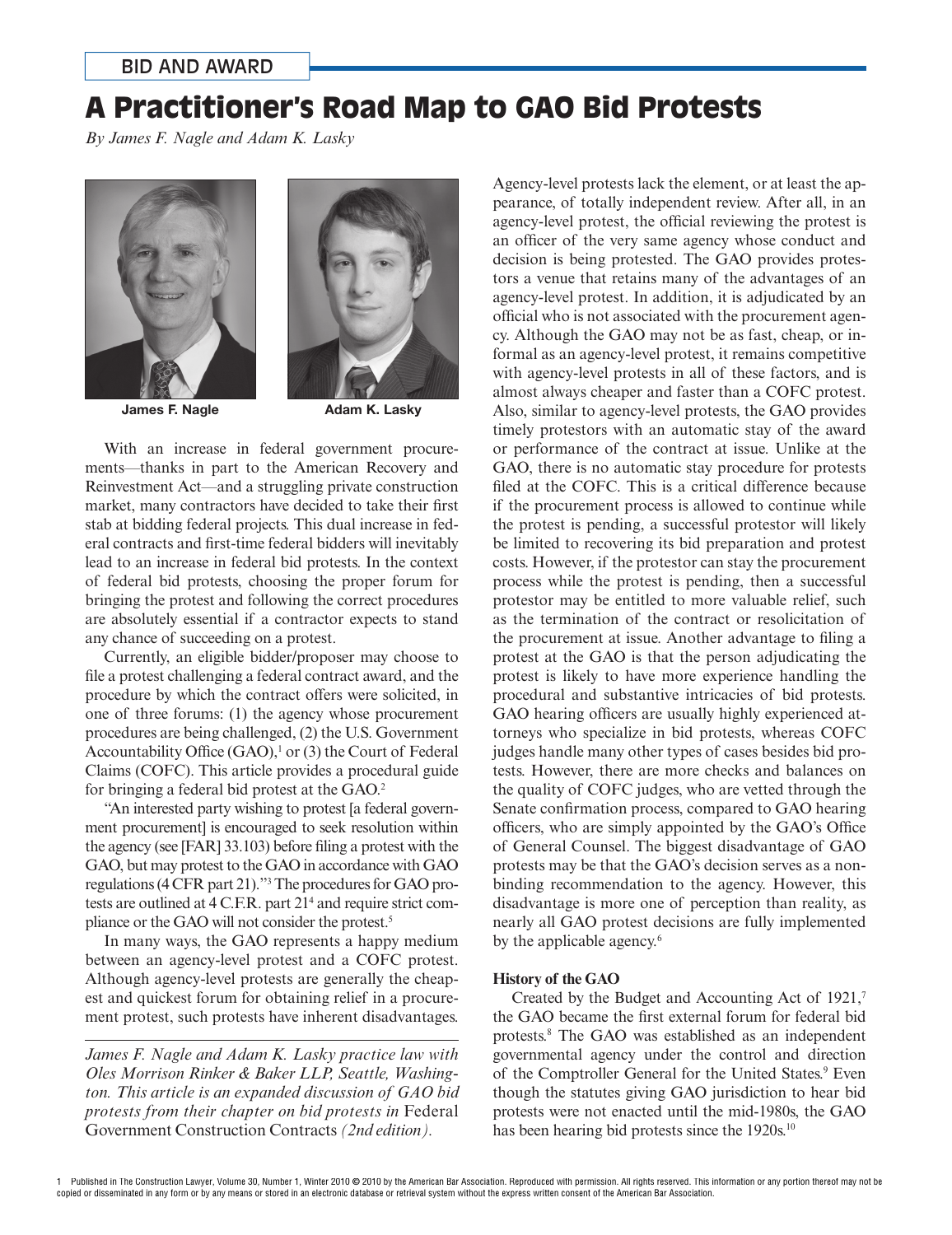# A Practitioner's Road Map to GAO Bid Protests

*By James F. Nagle and Adam K. Lasky*





James F. Nagle

Adam K. Lasky

With an increase in federal government procurements—thanks in part to the American Recovery and Reinvestment Act—and a struggling private construction market, many contractors have decided to take their first stab at bidding federal projects. This dual increase in federal contracts and first-time federal bidders will inevitably lead to an increase in federal bid protests. In the context of federal bid protests, choosing the proper forum for bringing the protest and following the correct procedures are absolutely essential if a contractor expects to stand any chance of succeeding on a protest.

Currently, an eligible bidder/proposer may choose to file a protest challenging a federal contract award, and the procedure by which the contract offers were solicited, in one of three forums: (1) the agency whose procurement procedures are being challenged, (2) the U.S. Government Accountability Office  $(GAO)$ ,<sup>1</sup> or (3) the Court of Federal Claims (COFC). This article provides a procedural guide for bringing a federal bid protest at the GAO.<sup>2</sup>

"An interested party wishing to protest [a federal government procurement] is encouraged to seek resolution within the agency (see  $[FAR]$  33.103) before filing a protest with the GAO, but may protest to the GAO in accordance with GAO regulations (4 CFR part 21)."3 The procedures for GAO protests are outlined at 4 C.F.R. part 21<sup>4</sup> and require strict compliance or the GAO will not consider the protest.<sup>5</sup>

In many ways, the GAO represents a happy medium between an agency-level protest and a COFC protest. Although agency-level protests are generally the cheapest and quickest forum for obtaining relief in a procurement protest, such protests have inherent disadvantages.

*James F. Nagle and Adam K. Lasky practice law with Oles Morrison Rinker & Baker LLP, Seattle, Washington. This article is an expanded discussion of GAO bid protests from their chapter on bid protests in* Federal Government Construction Contracts *(2nd edition).*

Agency-level protests lack the element, or at least the appearance, of totally independent review. After all, in an agency-level protest, the official reviewing the protest is an officer of the very same agency whose conduct and decision is being protested. The GAO provides protestors a venue that retains many of the advantages of an agency-level protest. In addition, it is adjudicated by an official who is not associated with the procurement agency. Although the GAO may not be as fast, cheap, or informal as an agency-level protest, it remains competitive with agency-level protests in all of these factors, and is almost always cheaper and faster than a COFC protest. Also, similar to agency-level protests, the GAO provides timely protestors with an automatic stay of the award or performance of the contract at issue. Unlike at the GAO, there is no automatic stay procedure for protests filed at the COFC. This is a critical difference because if the procurement process is allowed to continue while the protest is pending, a successful protestor will likely be limited to recovering its bid preparation and protest costs. However, if the protestor can stay the procurement process while the protest is pending, then a successful protestor may be entitled to more valuable relief, such as the termination of the contract or resolicitation of the procurement at issue. Another advantage to filing a protest at the GAO is that the person adjudicating the protest is likely to have more experience handling the procedural and substantive intricacies of bid protests. GAO hearing officers are usually highly experienced attorneys who specialize in bid protests, whereas COFC judges handle many other types of cases besides bid protests. However, there are more checks and balances on the quality of COFC judges, who are vetted through the Senate confirmation process, compared to GAO hearing officers, who are simply appointed by the GAO's Office of General Counsel. The biggest disadvantage of GAO protests may be that the GAO's decision serves as a nonbinding recommendation to the agency. However, this disadvantage is more one of perception than reality, as nearly all GAO protest decisions are fully implemented by the applicable agency.<sup>6</sup>

# **History of the GAO**

Created by the Budget and Accounting Act of 1921,<sup>7</sup> the GAO became the first external forum for federal bid protests.8 The GAO was established as an independent governmental agency under the control and direction of the Comptroller General for the United States.<sup>9</sup> Even though the statutes giving GAO jurisdiction to hear bid protests were not enacted until the mid-1980s, the GAO has been hearing bid protests since the 1920s.<sup>10</sup>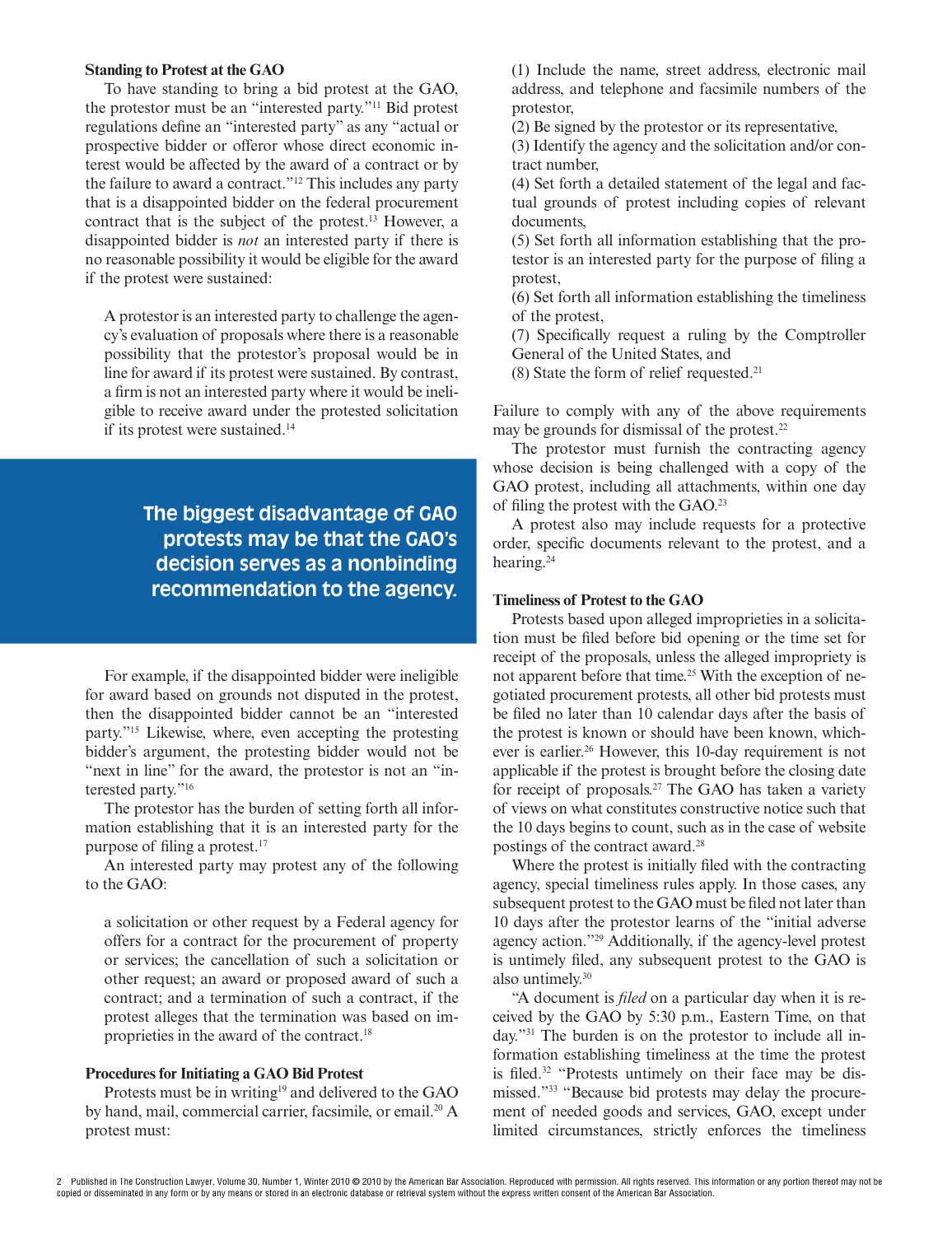#### **Standing to Protest at the GAO**

To have standing to bring a bid protest at the GAO, the protestor must be an "interested party."11 Bid protest regulations define an "interested party" as any "actual or prospective bidder or offeror whose direct economic interest would be affected by the award of a contract or by the failure to award a contract."12 This includes any party that is a disappointed bidder on the federal procurement contract that is the subject of the protest.13 However, a disappointed bidder is *not* an interested party if there is no reasonable possibility it would be eligible for the award if the protest were sustained:

A protestor is an interested party to challenge the agency's evaluation of proposals where there is a reasonable possibility that the protestor's proposal would be in line for award if its protest were sustained. By contrast, a firm is not an interested party where it would be ineligible to receive award under the protested solicitation if its protest were sustained.14

# **The biggest disadvantage of GAO protests may be that the GAO's decision serves as a nonbinding recommendation to the agency.**

For example, if the disappointed bidder were ineligible for award based on grounds not disputed in the protest, then the disappointed bidder cannot be an "interested party."15 Likewise, where, even accepting the protesting bidder's argument, the protesting bidder would not be "next in line" for the award, the protestor is not an "interested party."16

The protestor has the burden of setting forth all information establishing that it is an interested party for the purpose of filing a protest.<sup>17</sup>

An interested party may protest any of the following to the GAO:

a solicitation or other request by a Federal agency for offers for a contract for the procurement of property or services; the cancellation of such a solicitation or other request; an award or proposed award of such a contract; and a termination of such a contract, if the protest alleges that the termination was based on improprieties in the award of the contract.18

#### **Procedures for Initiating a GAO Bid Protest**

Protests must be in writing<sup>19</sup> and delivered to the GAO by hand, mail, commercial carrier, facsimile, or email.<sup>20</sup> A protest must:

(1) Include the name, street address, electronic mail address, and telephone and facsimile numbers of the protestor,

(2) Be signed by the protestor or its representative,

(3) Identify the agency and the solicitation and/or contract number,

(4) Set forth a detailed statement of the legal and factual grounds of protest including copies of relevant documents,

(5) Set forth all information establishing that the protestor is an interested party for the purpose of filing a protest,

(6) Set forth all information establishing the timeliness of the protest,

(7) Specifically request a ruling by the Comptroller General of the United States, and

 $(8)$  State the form of relief requested.<sup>21</sup>

Failure to comply with any of the above requirements may be grounds for dismissal of the protest.<sup>22</sup>

The protestor must furnish the contracting agency whose decision is being challenged with a copy of the GAO protest, including all attachments, within one day of filing the protest with the  $GAO.<sup>23</sup>$ 

A protest also may include requests for a protective order, specific documents relevant to the protest, and a hearing.24

#### **Timeliness of Protest to the GAO**

Protests based upon alleged improprieties in a solicitation must be filed before bid opening or the time set for receipt of the proposals, unless the alleged impropriety is not apparent before that time.<sup>25</sup> With the exception of negotiated procurement protests, all other bid protests must be filed no later than 10 calendar days after the basis of the protest is known or should have been known, whichever is earlier.<sup>26</sup> However, this 10-day requirement is not applicable if the protest is brought before the closing date for receipt of proposals.27 The GAO has taken a variety of views on what constitutes constructive notice such that the 10 days begins to count, such as in the case of website postings of the contract award.28

Where the protest is initially filed with the contracting agency, special timeliness rules apply. In those cases, any subsequent protest to the GAO must be filed not later than 10 days after the protestor learns of the "initial adverse agency action."29 Additionally, if the agency-level protest is untimely filed, any subsequent protest to the GAO is also untimely.30

"A document is *filed* on a particular day when it is received by the GAO by 5:30 p.m., Eastern Time, on that day."31 The burden is on the protestor to include all information establishing timeliness at the time the protest is filed. $32$  "Protests untimely on their face may be dismissed."33 "Because bid protests may delay the procurement of needed goods and services, GAO, except under limited circumstances, strictly enforces the timeliness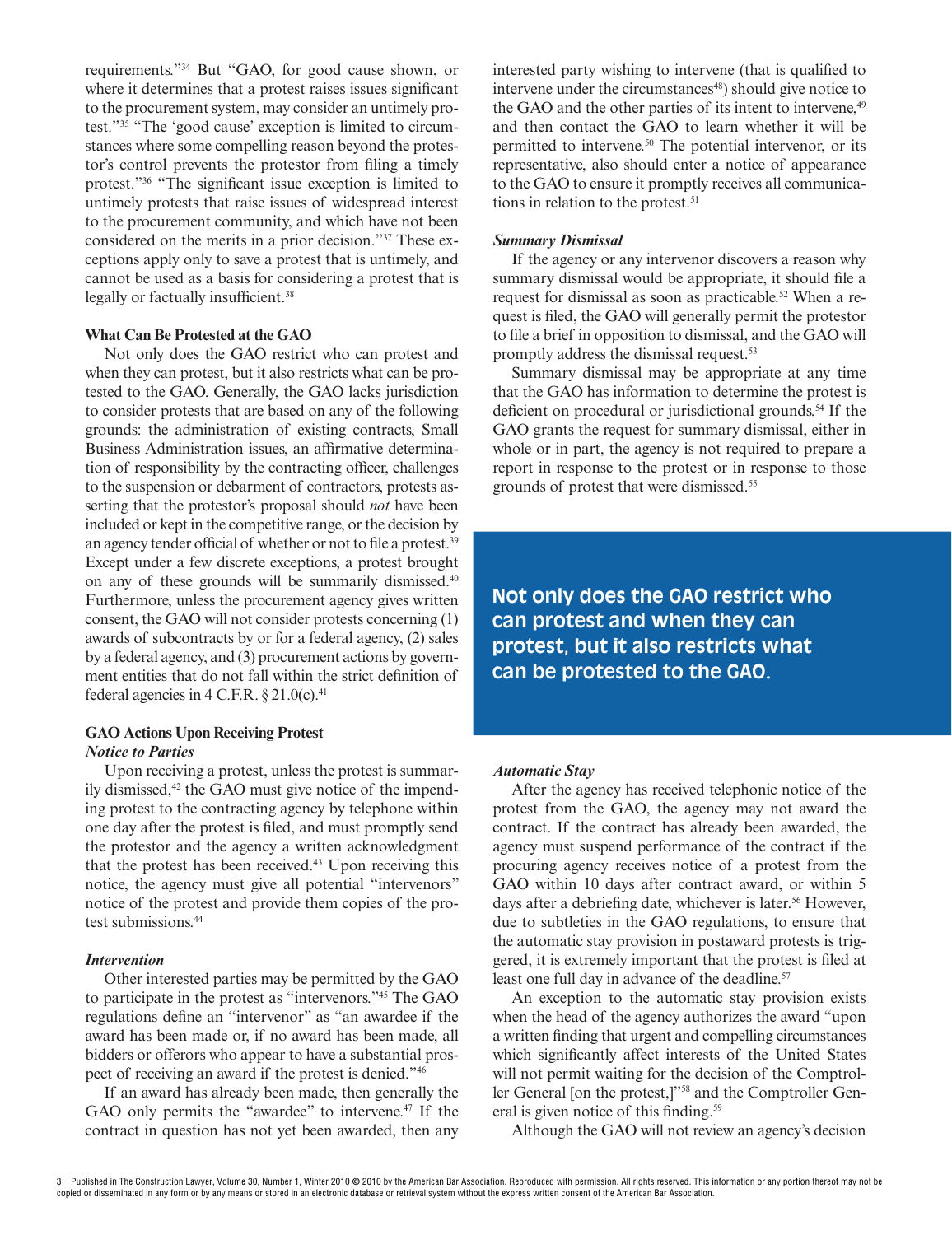requirements."34 But "GAO, for good cause shown, or where it determines that a protest raises issues significant to the procurement system, may consider an untimely protest."35 "The 'good cause' exception is limited to circumstances where some compelling reason beyond the protestor's control prevents the protestor from filing a timely protest."<sup>36</sup> "The significant issue exception is limited to untimely protests that raise issues of widespread interest to the procurement community, and which have not been considered on the merits in a prior decision."37 These exceptions apply only to save a protest that is untimely, and cannot be used as a basis for considering a protest that is legally or factually insufficient.<sup>38</sup>

#### **What Can Be Protested at the GAO**

Not only does the GAO restrict who can protest and when they can protest, but it also restricts what can be protested to the GAO. Generally, the GAO lacks jurisdiction to consider protests that are based on any of the following grounds: the administration of existing contracts, Small Business Administration issues, an affirmative determination of responsibility by the contracting officer, challenges to the suspension or debarment of contractors, protests asserting that the protestor's proposal should *not* have been included or kept in the competitive range, or the decision by an agency tender official of whether or not to file a protest.<sup>39</sup> Except under a few discrete exceptions, a protest brought on any of these grounds will be summarily dismissed.<sup>40</sup> Furthermore, unless the procurement agency gives written consent, the GAO will not consider protests concerning (1) awards of subcontracts by or for a federal agency, (2) sales by a federal agency, and (3) procurement actions by government entities that do not fall within the strict definition of federal agencies in 4 C.F.R.  $\S 21.0(c)$ .<sup>41</sup>

# **GAO Actions Upon Receiving Protest**

# **Notice to Parties**

Upon receiving a protest, unless the protest is summarily dismissed, $42$  the GAO must give notice of the impending protest to the contracting agency by telephone within one day after the protest is filed, and must promptly send the protestor and the agency a written acknowledgment that the protest has been received.<sup>43</sup> Upon receiving this notice, the agency must give all potential "intervenors" notice of the protest and provide them copies of the protest submissions.44

#### **Intervention**

Other interested parties may be permitted by the GAO to participate in the protest as "intervenors."45 The GAO regulations define an "intervenor" as "an awardee if the award has been made or, if no award has been made, all bidders or offerors who appear to have a substantial prospect of receiving an award if the protest is denied."46

If an award has already been made, then generally the GAO only permits the "awardee" to intervene.<sup>47</sup> If the contract in question has not yet been awarded, then any interested party wishing to intervene (that is qualified to intervene under the circumstances<sup>48</sup>) should give notice to the GAO and the other parties of its intent to intervene,<sup>49</sup> and then contact the GAO to learn whether it will be permitted to intervene.50 The potential intervenor, or its representative, also should enter a notice of appearance to the GAO to ensure it promptly receives all communications in relation to the protest.<sup>51</sup>

#### **Summary Dismissal**

If the agency or any intervenor discovers a reason why summary dismissal would be appropriate, it should file a request for dismissal as soon as practicable.<sup>52</sup> When a request is filed, the GAO will generally permit the protestor to file a brief in opposition to dismissal, and the GAO will promptly address the dismissal request.53

Summary dismissal may be appropriate at any time that the GAO has information to determine the protest is deficient on procedural or jurisdictional grounds.<sup>54</sup> If the GAO grants the request for summary dismissal, either in whole or in part, the agency is not required to prepare a report in response to the protest or in response to those grounds of protest that were dismissed.55

**Not only does the GAO restrict who can protest and when they can protest, but it also restricts what can be protested to the GAO.**

#### **Automatic Stay**

After the agency has received telephonic notice of the protest from the GAO, the agency may not award the contract. If the contract has already been awarded, the agency must suspend performance of the contract if the procuring agency receives notice of a protest from the GAO within 10 days after contract award, or within 5 days after a debriefing date, whichever is later.<sup>56</sup> However, due to subtleties in the GAO regulations, to ensure that the automatic stay provision in postaward protests is triggered, it is extremely important that the protest is filed at least one full day in advance of the deadline.<sup>57</sup>

An exception to the automatic stay provision exists when the head of the agency authorizes the award "upon a written finding that urgent and compelling circumstances which significantly affect interests of the United States will not permit waiting for the decision of the Comptroller General [on the protest,]"58 and the Comptroller General is given notice of this finding. $59$ 

Although the GAO will not review an agency's decision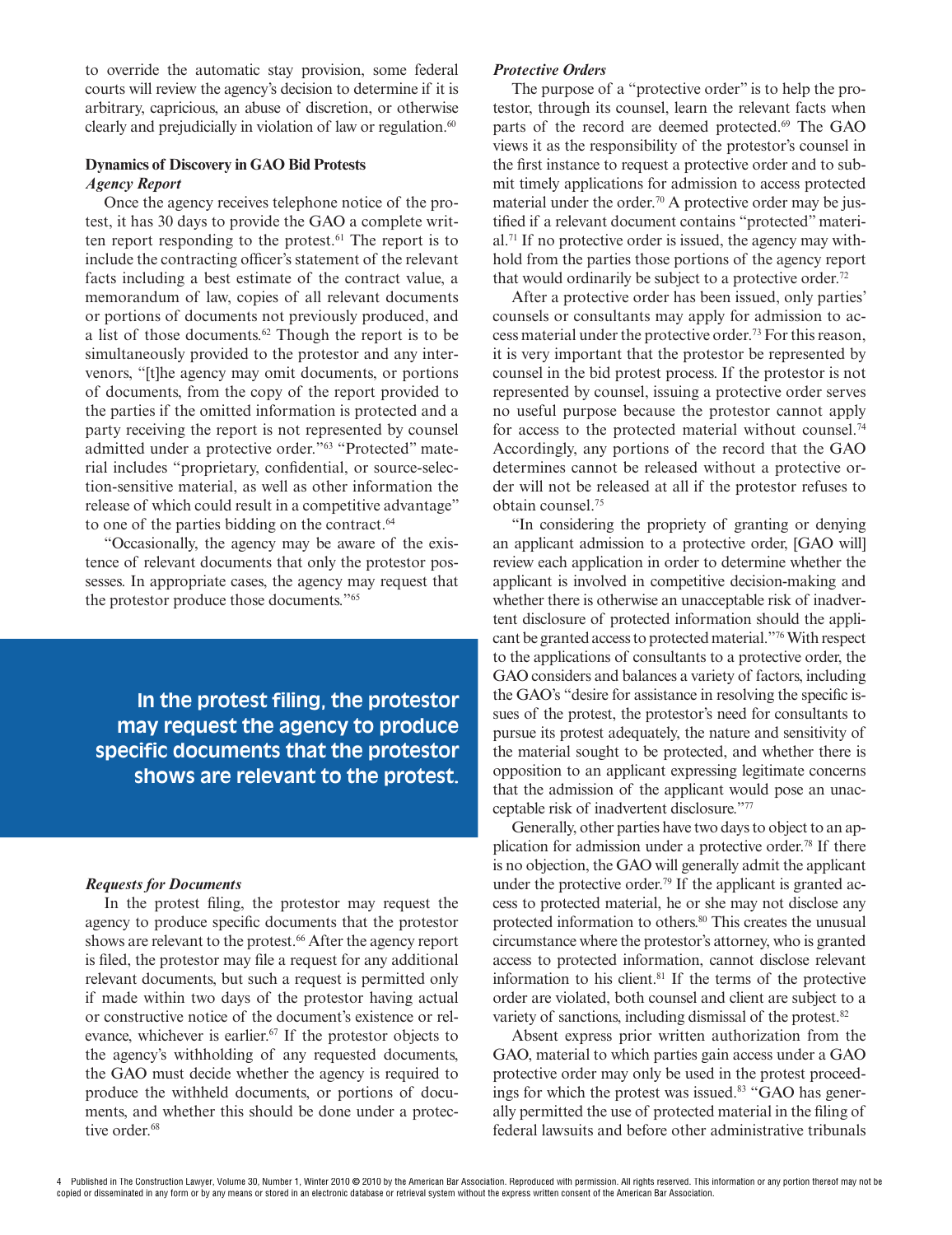to override the automatic stay provision, some federal courts will review the agency's decision to determine if it is arbitrary, capricious, an abuse of discretion, or otherwise clearly and prejudicially in violation of law or regulation. $60$ 

#### **Dynamics of Discovery in GAO Bid Protests Agency Report**

Once the agency receives telephone notice of the protest, it has 30 days to provide the GAO a complete written report responding to the protest.<sup>61</sup> The report is to include the contracting officer's statement of the relevant facts including a best estimate of the contract value, a memorandum of law, copies of all relevant documents or portions of documents not previously produced, and a list of those documents. $62$  Though the report is to be simultaneously provided to the protestor and any intervenors, "[t]he agency may omit documents, or portions of documents, from the copy of the report provided to the parties if the omitted information is protected and a party receiving the report is not represented by counsel admitted under a protective order."63 "Protected" material includes "proprietary, confidential, or source-selection-sensitive material, as well as other information the release of which could result in a competitive advantage" to one of the parties bidding on the contract.<sup>64</sup>

"Occasionally, the agency may be aware of the existence of relevant documents that only the protestor possesses. In appropriate cases, the agency may request that the protestor produce those documents."65

**In the protest filing, the protestor may request the agency to produce specific documents that the protestor shows are relevant to the protest.**

#### **Requests for Documents**

In the protest filing, the protestor may request the agency to produce specific documents that the protestor shows are relevant to the protest.<sup>66</sup> After the agency report is filed, the protestor may file a request for any additional relevant documents, but such a request is permitted only if made within two days of the protestor having actual or constructive notice of the document's existence or relevance, whichever is earlier.<sup>67</sup> If the protestor objects to the agency's withholding of any requested documents, the GAO must decide whether the agency is required to produce the withheld documents, or portions of documents, and whether this should be done under a protective order.<sup>68</sup>

#### **Protective Orders**

The purpose of a "protective order" is to help the protestor, through its counsel, learn the relevant facts when parts of the record are deemed protected.<sup>69</sup> The GAO views it as the responsibility of the protestor's counsel in the first instance to request a protective order and to submit timely applications for admission to access protected material under the order.<sup>70</sup> A protective order may be justified if a relevant document contains "protected" material.71 If no protective order is issued, the agency may withhold from the parties those portions of the agency report that would ordinarily be subject to a protective order.<sup>72</sup>

After a protective order has been issued, only parties' counsels or consultants may apply for admission to access material under the protective order.73 For this reason, it is very important that the protestor be represented by counsel in the bid protest process. If the protestor is not represented by counsel, issuing a protective order serves no useful purpose because the protestor cannot apply for access to the protected material without counsel.<sup>74</sup> Accordingly, any portions of the record that the GAO determines cannot be released without a protective order will not be released at all if the protestor refuses to obtain counsel.75

"In considering the propriety of granting or denying an applicant admission to a protective order, [GAO will] review each application in order to determine whether the applicant is involved in competitive decision-making and whether there is otherwise an unacceptable risk of inadvertent disclosure of protected information should the applicant be granted access to protected material."76 With respect to the applications of consultants to a protective order, the GAO considers and balances a variety of factors, including the GAO's "desire for assistance in resolving the specific issues of the protest, the protestor's need for consultants to pursue its protest adequately, the nature and sensitivity of the material sought to be protected, and whether there is opposition to an applicant expressing legitimate concerns that the admission of the applicant would pose an unacceptable risk of inadvertent disclosure."77

Generally, other parties have two days to object to an application for admission under a protective order.78 If there is no objection, the GAO will generally admit the applicant under the protective order.<sup>79</sup> If the applicant is granted access to protected material, he or she may not disclose any protected information to others.<sup>80</sup> This creates the unusual circumstance where the protestor's attorney, who is granted access to protected information, cannot disclose relevant information to his client. $81$  If the terms of the protective order are violated, both counsel and client are subject to a variety of sanctions, including dismissal of the protest.<sup>82</sup>

Absent express prior written authorization from the GAO, material to which parties gain access under a GAO protective order may only be used in the protest proceedings for which the protest was issued.<sup>83</sup> "GAO has generally permitted the use of protected material in the filing of federal lawsuits and before other administrative tribunals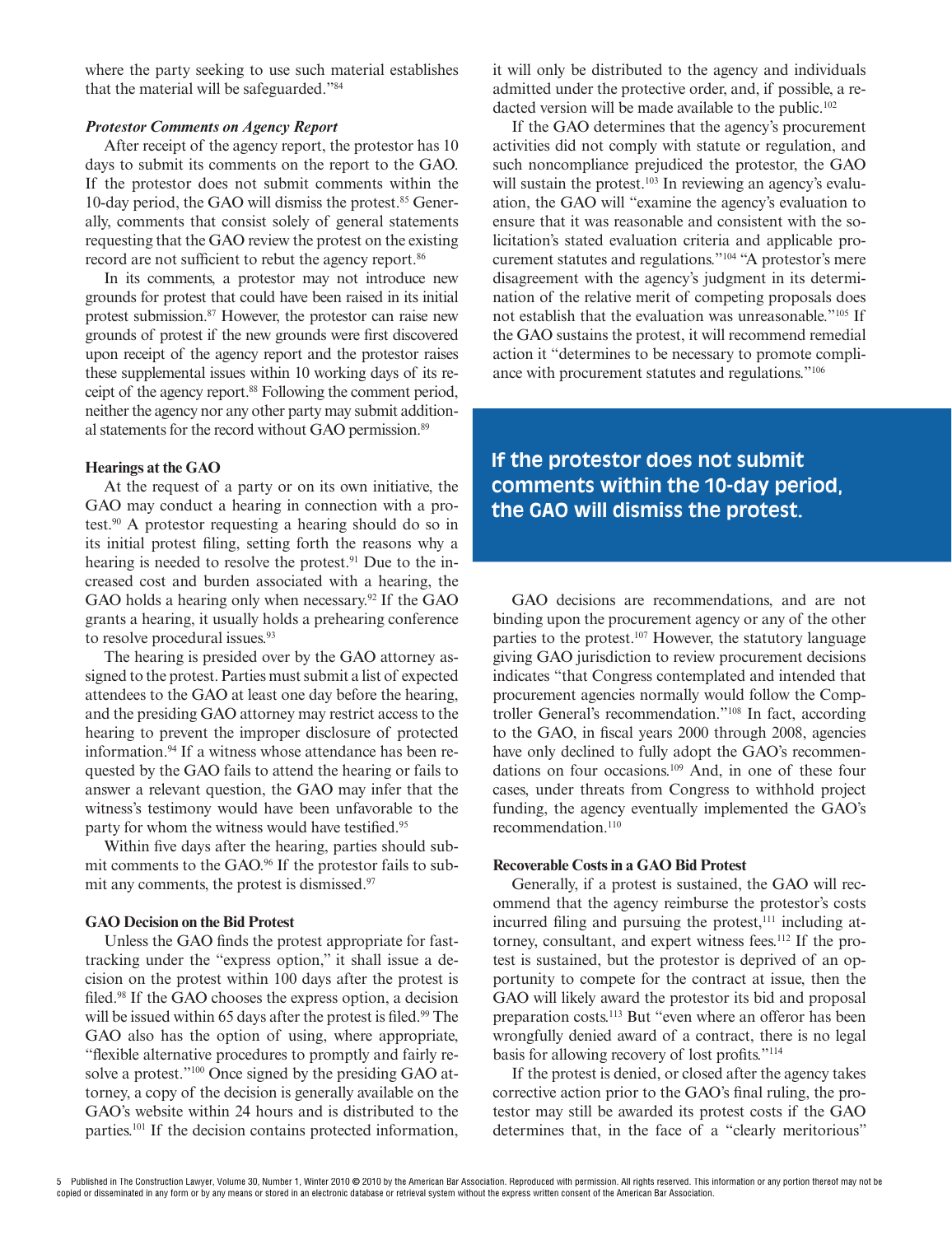where the party seeking to use such material establishes that the material will be safeguarded."84

#### **Protestor Comments on Agency Report**

After receipt of the agency report, the protestor has 10 days to submit its comments on the report to the GAO. If the protestor does not submit comments within the 10-day period, the GAO will dismiss the protest.<sup>85</sup> Generally, comments that consist solely of general statements requesting that the GAO review the protest on the existing record are not sufficient to rebut the agency report.<sup>86</sup>

In its comments, a protestor may not introduce new grounds for protest that could have been raised in its initial protest submission.87 However, the protestor can raise new grounds of protest if the new grounds were first discovered upon receipt of the agency report and the protestor raises these supplemental issues within 10 working days of its receipt of the agency report.<sup>88</sup> Following the comment period, neither the agency nor any other party may submit additional statements for the record without GAO permission.<sup>89</sup>

#### **Hearings at the GAO**

At the request of a party or on its own initiative, the GAO may conduct a hearing in connection with a protest.90 A protestor requesting a hearing should do so in its initial protest filing, setting forth the reasons why a hearing is needed to resolve the protest. $91$  Due to the increased cost and burden associated with a hearing, the GAO holds a hearing only when necessary.<sup>92</sup> If the GAO grants a hearing, it usually holds a prehearing conference to resolve procedural issues.<sup>93</sup>

The hearing is presided over by the GAO attorney assigned to the protest. Parties must submit a list of expected attendees to the GAO at least one day before the hearing, and the presiding GAO attorney may restrict access to the hearing to prevent the improper disclosure of protected information.<sup>94</sup> If a witness whose attendance has been requested by the GAO fails to attend the hearing or fails to answer a relevant question, the GAO may infer that the witness's testimony would have been unfavorable to the party for whom the witness would have testified.<sup>95</sup>

Within five days after the hearing, parties should submit comments to the GAO.96 If the protestor fails to submit any comments, the protest is dismissed.<sup>97</sup>

#### **GAO Decision on the Bid Protest**

Unless the GAO finds the protest appropriate for fasttracking under the "express option," it shall issue a decision on the protest within 100 days after the protest is filed.<sup>98</sup> If the GAO chooses the express option, a decision will be issued within 65 days after the protest is filed.<sup>99</sup> The GAO also has the option of using, where appropriate, "flexible alternative procedures to promptly and fairly resolve a protest."<sup>100</sup> Once signed by the presiding GAO attorney, a copy of the decision is generally available on the GAO's website within 24 hours and is distributed to the parties.101 If the decision contains protected information, it will only be distributed to the agency and individuals admitted under the protective order, and, if possible, a redacted version will be made available to the public.<sup>102</sup>

If the GAO determines that the agency's procurement activities did not comply with statute or regulation, and such noncompliance prejudiced the protestor, the GAO will sustain the protest.<sup>103</sup> In reviewing an agency's evaluation, the GAO will "examine the agency's evaluation to ensure that it was reasonable and consistent with the solicitation's stated evaluation criteria and applicable procurement statutes and regulations."104 "A protestor's mere disagreement with the agency's judgment in its determination of the relative merit of competing proposals does not establish that the evaluation was unreasonable."105 If the GAO sustains the protest, it will recommend remedial action it "determines to be necessary to promote compliance with procurement statutes and regulations."106

# **If the protestor does not submit comments within the 10-day period, the GAO will dismiss the protest.**

GAO decisions are recommendations, and are not binding upon the procurement agency or any of the other parties to the protest.107 However, the statutory language giving GAO jurisdiction to review procurement decisions indicates "that Congress contemplated and intended that procurement agencies normally would follow the Comptroller General's recommendation."108 In fact, according to the GAO, in fiscal years 2000 through 2008, agencies have only declined to fully adopt the GAO's recommendations on four occasions.109 And, in one of these four cases, under threats from Congress to withhold project funding, the agency eventually implemented the GAO's recommendation.110

### **Recoverable Costs in a GAO Bid Protest**

Generally, if a protest is sustained, the GAO will recommend that the agency reimburse the protestor's costs incurred filing and pursuing the protest, $111$  including attorney, consultant, and expert witness fees.<sup>112</sup> If the protest is sustained, but the protestor is deprived of an opportunity to compete for the contract at issue, then the GAO will likely award the protestor its bid and proposal preparation costs.113 But "even where an offeror has been wrongfully denied award of a contract, there is no legal basis for allowing recovery of lost profits."<sup>114</sup>

If the protest is denied, or closed after the agency takes corrective action prior to the GAO's final ruling, the protestor may still be awarded its protest costs if the GAO determines that, in the face of a "clearly meritorious"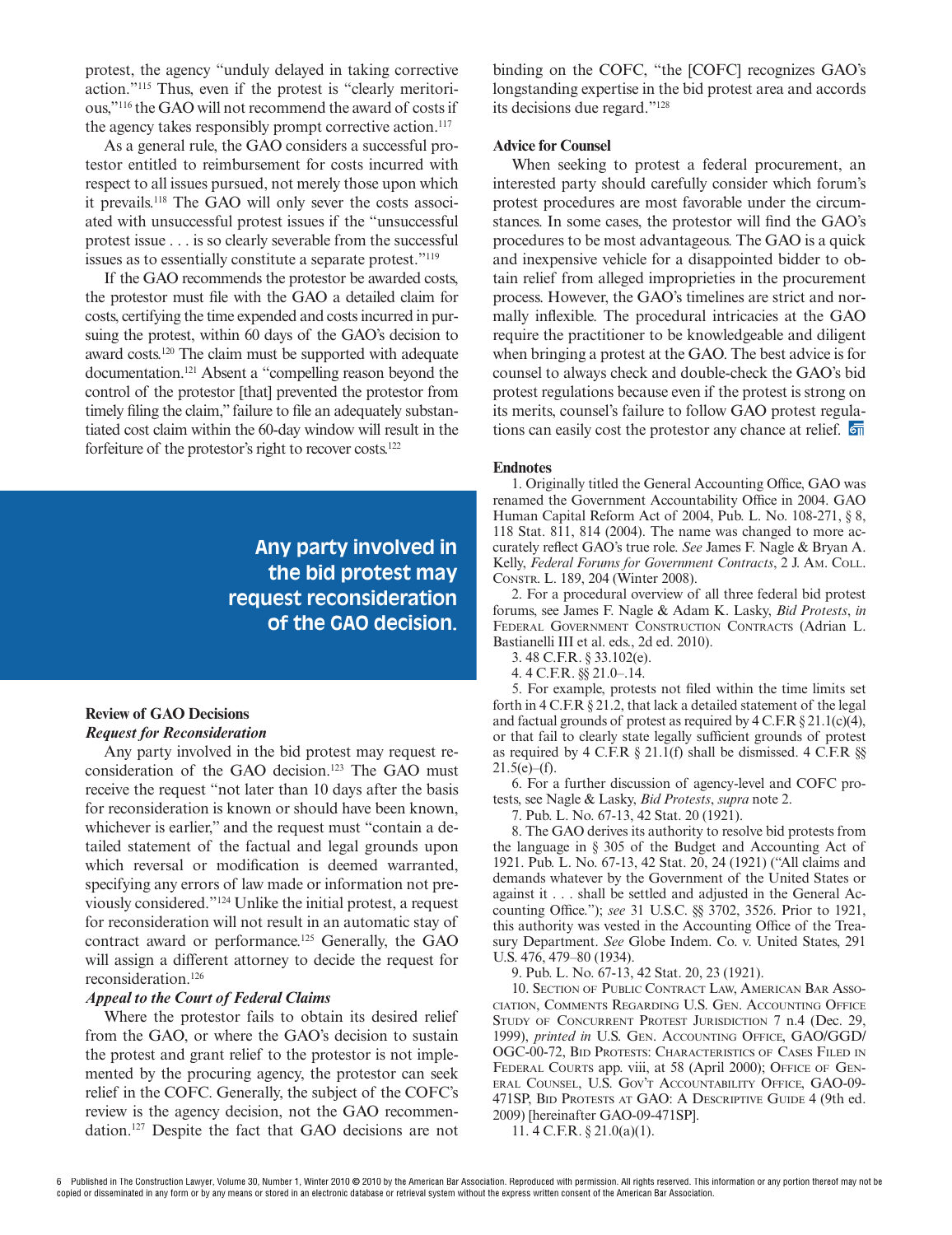protest, the agency "unduly delayed in taking corrective action."115 Thus, even if the protest is "clearly meritorious,"116 the GAO will not recommend the award of costs if the agency takes responsibly prompt corrective action.<sup>117</sup>

As a general rule, the GAO considers a successful protestor entitled to reimbursement for costs incurred with respect to all issues pursued, not merely those upon which it prevails.118 The GAO will only sever the costs associated with unsuccessful protest issues if the "unsuccessful protest issue . . . is so clearly severable from the successful issues as to essentially constitute a separate protest."119

If the GAO recommends the protestor be awarded costs, the protestor must file with the GAO a detailed claim for costs, certifying the time expended and costs incurred in pursuing the protest, within 60 days of the GAO's decision to award costs.120 The claim must be supported with adequate documentation.121 Absent a "compelling reason beyond the control of the protestor [that] prevented the protestor from timely filing the claim," failure to file an adequately substantiated cost claim within the 60-day window will result in the forfeiture of the protestor's right to recover costs.122

> **Any party involved in the bid protest may request reconsideration of the GAO decision.**

## **Review of GAO Decisions Request for Reconsideration**

Any party involved in the bid protest may request reconsideration of the GAO decision.<sup>123</sup> The GAO must receive the request "not later than 10 days after the basis for reconsideration is known or should have been known, whichever is earlier," and the request must "contain a detailed statement of the factual and legal grounds upon which reversal or modification is deemed warranted, specifying any errors of law made or information not previously considered."124 Unlike the initial protest, a request for reconsideration will not result in an automatic stay of contract award or performance.<sup>125</sup> Generally, the GAO will assign a different attorney to decide the request for reconsideration.126

### **Appeal to the Court of Federal Claims**

Where the protestor fails to obtain its desired relief from the GAO, or where the GAO's decision to sustain the protest and grant relief to the protestor is not implemented by the procuring agency, the protestor can seek relief in the COFC. Generally, the subject of the COFC's review is the agency decision, not the GAO recommendation.127 Despite the fact that GAO decisions are not

binding on the COFC, "the [COFC] recognizes GAO's longstanding expertise in the bid protest area and accords its decisions due regard."128

#### **Advice for Counsel**

When seeking to protest a federal procurement, an interested party should carefully consider which forum's protest procedures are most favorable under the circumstances. In some cases, the protestor will find the GAO's procedures to be most advantageous. The GAO is a quick and inexpensive vehicle for a disappointed bidder to obtain relief from alleged improprieties in the procurement process. However, the GAO's timelines are strict and normally inflexible. The procedural intricacies at the GAO require the practitioner to be knowledgeable and diligent when bringing a protest at the GAO. The best advice is for counsel to always check and double-check the GAO's bid protest regulations because even if the protest is strong on its merits, counsel's failure to follow GAO protest regulations can easily cost the protestor any chance at relief.  $\overline{\overline{\mathbb{F}}}$ 

#### **Endnotes**

1. Originally titled the General Accounting Office, GAO was renamed the Government Accountability Office in 2004. GAO Human Capital Reform Act of 2004, Pub. L. No. 108-271, § 8, 118 Stat. 811, 814 (2004). The name was changed to more accurately reflect GAO's true role. *See James F. Nagle & Bryan A.* Kelly, *Federal Forums for Government Contracts*, 2 J. AM. COLL. CONSTR. L. 189, 204 (Winter 2008).

2. For a procedural overview of all three federal bid protest forums, see James F. Nagle & Adam K. Lasky, *Bid Protests*, *in*  FEDERAL GOVERNMENT CONSTRUCTION CONTRACTS (Adrian L. Bastianelli III et al. eds., 2d ed. 2010).

3. 48 C.F.R. § 33.102(e).

4. 4 C.F.R. §§ 21.0–.14.

5. For example, protests not filed within the time limits set forth in 4 C.F.R § 21.2, that lack a detailed statement of the legal and factual grounds of protest as required by 4 C.F.R § 21.1(c)(4), or that fail to clearly state legally sufficient grounds of protest as required by 4 C.F.R § 21.1(f) shall be dismissed. 4 C.F.R §§  $21.5(e)$ –(f).

6. For a further discussion of agency-level and COFC protests, see Nagle & Lasky, *Bid Protests*, *supra* note 2.

7. Pub. L. No. 67-13, 42 Stat. 20 (1921).

8. The GAO derives its authority to resolve bid protests from the language in § 305 of the Budget and Accounting Act of 1921. Pub. L. No. 67-13, 42 Stat. 20, 24 (1921) ("All claims and demands whatever by the Government of the United States or against it . . . shall be settled and adjusted in the General Accounting Office."); *see* 31 U.S.C. §§ 3702, 3526. Prior to 1921, this authority was vested in the Accounting Office of the Treasury Department. *See* Globe Indem. Co. v. United States, 291 U.S. 476, 479–80 (1934).

9. Pub. L. No. 67-13, 42 Stat. 20, 23 (1921).

10. SECTION OF PUBLIC CONTRACT LAW, AMERICAN BAR ASSO-CIATION, COMMENTS REGARDING U.S. GEN. ACCOUNTING OFFICE STUDY OF CONCURRENT PROTEST JURISDICTION 7 n.4 (Dec. 29, 1999), *printed in* U.S. GEN. ACCOUNTING OFFICE, GAO/GGD/ OGC-00-72, BID PROTESTS: CHARACTERISTICS OF CASES FILED IN FEDERAL COURTS app. viii, at 58 (April 2000); OFFICE OF GEN-ERAL COUNSEL, U.S. GOV'T ACCOUNTABILITY OFFICE, GAO-09- 471SP, BID PROTESTS AT GAO: A DESCRIPTIVE GUIDE 4 (9th ed. 2009) [hereinafter GAO-09-471SP].

11. 4 C.F.R. § 21.0(a)(1).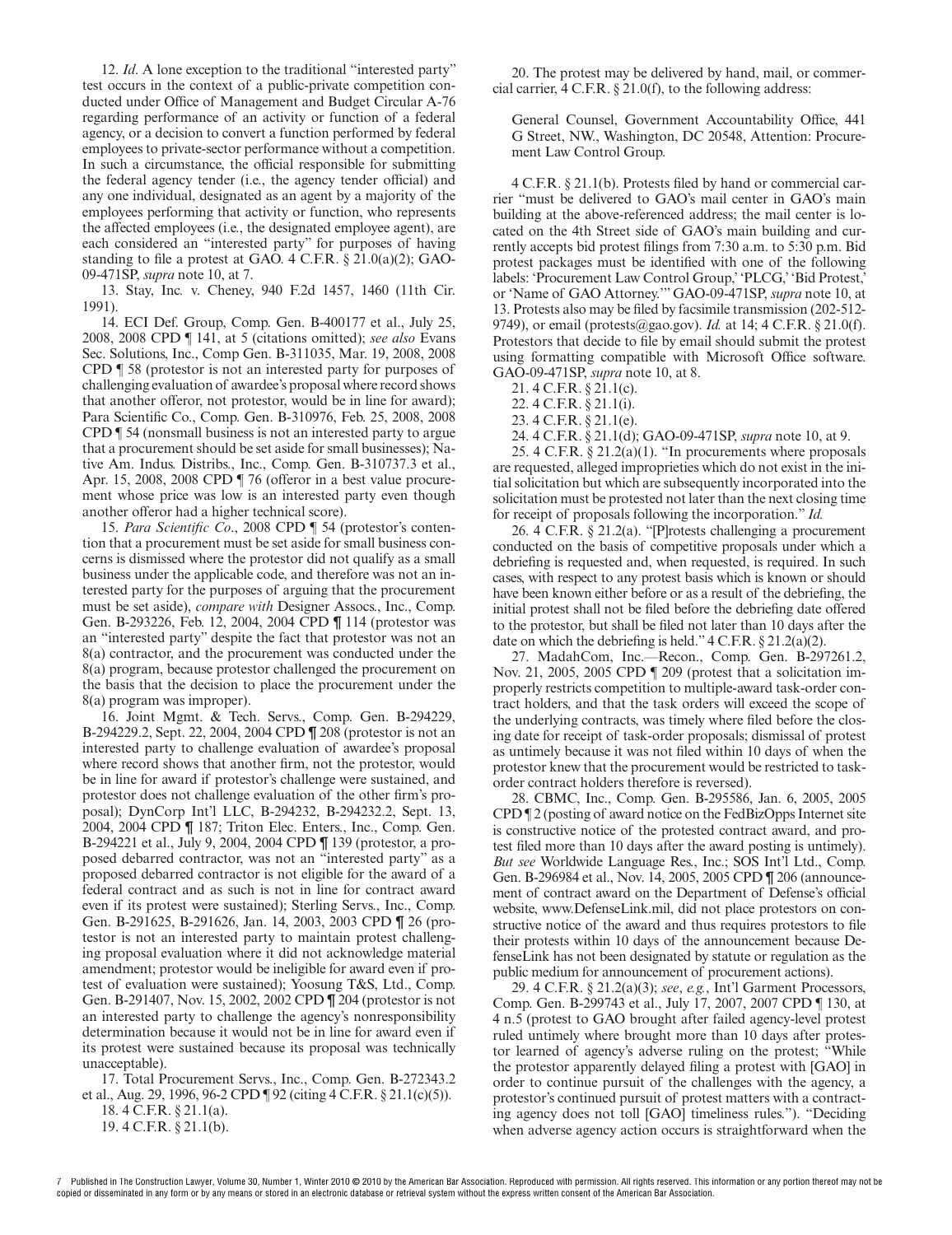12. *Id*. A lone exception to the traditional "interested party" test occurs in the context of a public-private competition conducted under Office of Management and Budget Circular A-76 regarding performance of an activity or function of a federal agency, or a decision to convert a function performed by federal employees to private-sector performance without a competition. In such a circumstance, the official responsible for submitting the federal agency tender (i.e., the agency tender official) and any one individual, designated as an agent by a majority of the employees performing that activity or function, who represents the affected employees (i.e., the designated employee agent), are each considered an "interested party" for purposes of having standing to file a protest at GAO. 4 C.F.R.  $\S$  21.0(a)(2); GAO-09-471SP, *supra* note 10, at 7.

13. Stay, Inc*.* v. Cheney, 940 F.2d 1457, 1460 (11th Cir. 1991).

14. ECI Def. Group, Comp. Gen. B-400177 et al., July 25, 2008, 2008 CPD ¶ 141, at 5 (citations omitted); *see also* Evans Sec. Solutions, Inc., Comp Gen. B-311035, Mar. 19, 2008, 2008 CPD ¶ 58 (protestor is not an interested party for purposes of challenging evaluation of awardee's proposal where record shows that another offeror, not protestor, would be in line for award); Para Scientific Co., Comp. Gen. B-310976, Feb. 25, 2008, 2008 CPD ¶ 54 (nonsmall business is not an interested party to argue that a procurement should be set aside for small businesses); Native Am. Indus. Distribs., Inc., Comp. Gen. B-310737.3 et al., Apr. 15, 2008, 2008 CPD ¶ 76 (offeror in a best value procurement whose price was low is an interested party even though another offeror had a higher technical score).

15. Para Scientific Co., 2008 CPD ¶ 54 (protestor's contention that a procurement must be set aside for small business concerns is dismissed where the protestor did not qualify as a small business under the applicable code, and therefore was not an interested party for the purposes of arguing that the procurement must be set aside), *compare with* Designer Assocs., Inc., Comp. Gen. B-293226, Feb. 12, 2004, 2004 CPD ¶ 114 (protestor was an "interested party" despite the fact that protestor was not an 8(a) contractor, and the procurement was conducted under the 8(a) program, because protestor challenged the procurement on the basis that the decision to place the procurement under the 8(a) program was improper).

16. Joint Mgmt. & Tech. Servs., Comp. Gen. B-294229, B-294229.2, Sept. 22, 2004, 2004 CPD ¶ 208 (protestor is not an interested party to challenge evaluation of awardee's proposal where record shows that another firm, not the protestor, would be in line for award if protestor's challenge were sustained, and protestor does not challenge evaluation of the other firm's proposal); DynCorp Int'l LLC, B-294232, B-294232.2, Sept. 13, 2004, 2004 CPD ¶ 187; Triton Elec. Enters., Inc., Comp. Gen. B-294221 et al., July 9, 2004, 2004 CPD ¶ 139 (protestor, a proposed debarred contractor, was not an "interested party" as a proposed debarred contractor is not eligible for the award of a federal contract and as such is not in line for contract award even if its protest were sustained); Sterling Servs., Inc., Comp. Gen. B-291625, B-291626, Jan. 14, 2003, 2003 CPD ¶ 26 (protestor is not an interested party to maintain protest challenging proposal evaluation where it did not acknowledge material amendment; protestor would be ineligible for award even if protest of evaluation were sustained); Yoosung T&S, Ltd., Comp. Gen. B-291407, Nov. 15, 2002, 2002 CPD ¶ 204 (protestor is not an interested party to challenge the agency's nonresponsibility determination because it would not be in line for award even if its protest were sustained because its proposal was technically unacceptable).

17. Total Procurement Servs., Inc., Comp. Gen. B-272343.2 et al., Aug. 29, 1996, 96-2 CPD ¶ 92 (citing 4 C.F.R. § 21.1(c)(5)).

18. 4 C.F.R. § 21.1(a). 19. 4 C.F.R. § 21.1(b).

20. The protest may be delivered by hand, mail, or commercial carrier, 4 C.F.R. § 21.0(f), to the following address:

General Counsel, Government Accountability Office, 441 G Street, NW., Washington, DC 20548, Attention: Procurement Law Control Group.

 $4$  C.F.R.  $\S$  21.1(b). Protests filed by hand or commercial carrier "must be delivered to GAO's mail center in GAO's main building at the above-referenced address; the mail center is located on the 4th Street side of GAO's main building and currently accepts bid protest filings from 7:30 a.m. to 5:30 p.m. Bid protest packages must be identified with one of the following labels: 'Procurement Law Control Group,' 'PLCG,' 'Bid Protest,' or 'Name of GAO Attorney.'" GAO-09-471SP, *supra* note 10, at 13. Protests also may be filed by facsimile transmission (202-512-9749), or email (protests@gao.gov). *Id.* at 14; 4 C.F.R. § 21.0(f). Protestors that decide to file by email should submit the protest using formatting compatible with Microsoft Office software. GAO-09-471SP, *supra* note 10, at 8.

21. 4 C.F.R. § 21.1(c).

22. 4 C.F.R. § 21.1(i).

23. 4 C.F.R. § 21.1(e).

24. 4 C.F.R. § 21.1(d); GAO-09-471SP, *supra* note 10, at 9.

25. 4 C.F.R.  $\S 21.2(a)(1)$ . "In procurements where proposals are requested, alleged improprieties which do not exist in the initial solicitation but which are subsequently incorporated into the solicitation must be protested not later than the next closing time for receipt of proposals following the incorporation." *Id.*

26. 4 C.F.R. § 21.2(a). "[P]rotests challenging a procurement conducted on the basis of competitive proposals under which a debriefing is requested and, when requested, is required. In such cases, with respect to any protest basis which is known or should have been known either before or as a result of the debriefing, the initial protest shall not be filed before the debriefing date offered to the protestor, but shall be filed not later than 10 days after the date on which the debriefing is held."  $4 \text{ C.F.R.} \$   $21.2(a)(2)$ .

27. MadahCom, Inc.—Recon., Comp. Gen. B-297261.2, Nov. 21, 2005, 2005 CPD ¶ 209 (protest that a solicitation improperly restricts competition to multiple-award task-order contract holders, and that the task orders will exceed the scope of the underlying contracts, was timely where filed before the closing date for receipt of task-order proposals; dismissal of protest as untimely because it was not filed within 10 days of when the protestor knew that the procurement would be restricted to taskorder contract holders therefore is reversed).

28. CBMC, Inc., Comp. Gen. B-295586, Jan. 6, 2005, 2005 CPD ¶ 2 (posting of award notice on the FedBizOpps Internet site is constructive notice of the protested contract award, and protest filed more than 10 days after the award posting is untimely). *But see* Worldwide Language Res., Inc.; SOS Int'l Ltd., Comp. Gen. B-296984 et al., Nov. 14, 2005, 2005 CPD ¶ 206 (announcement of contract award on the Department of Defense's official website, www.DefenseLink.mil, did not place protestors on constructive notice of the award and thus requires protestors to file their protests within 10 days of the announcement because DefenseLink has not been designated by statute or regulation as the public medium for announcement of procurement actions).

29. 4 C.F.R. § 21.2(a)(3); *see*, *e.g.*, Int'l Garment Processors, Comp. Gen. B-299743 et al., July 17, 2007, 2007 CPD ¶ 130, at 4 n.5 (protest to GAO brought after failed agency-level protest ruled untimely where brought more than 10 days after protestor learned of agency's adverse ruling on the protest; "While the protestor apparently delayed filing a protest with [GAO] in order to continue pursuit of the challenges with the agency, a protestor's continued pursuit of protest matters with a contracting agency does not toll [GAO] timeliness rules."). "Deciding when adverse agency action occurs is straightforward when the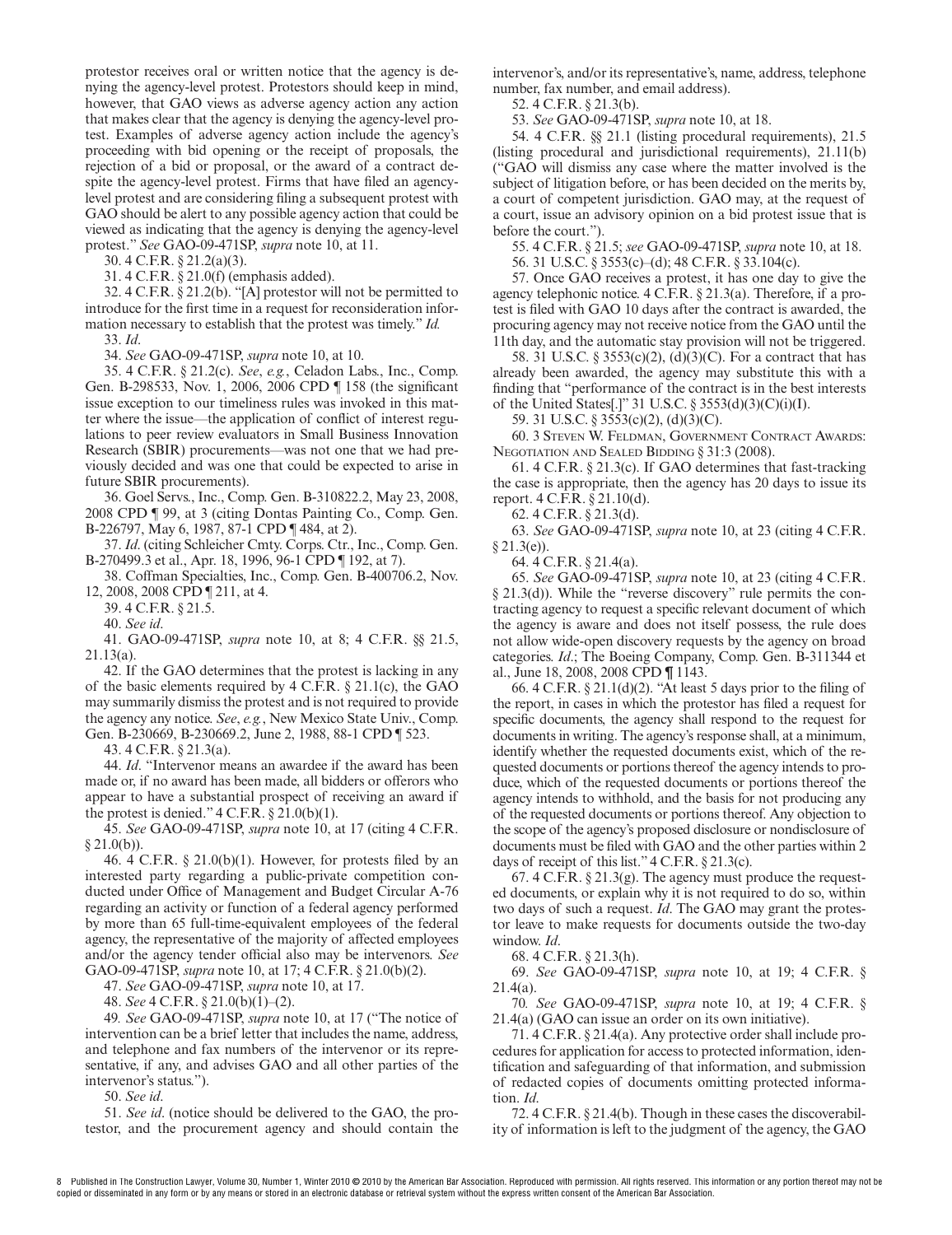protestor receives oral or written notice that the agency is denying the agency-level protest. Protestors should keep in mind, however, that GAO views as adverse agency action any action that makes clear that the agency is denying the agency-level protest. Examples of adverse agency action include the agency's proceeding with bid opening or the receipt of proposals, the rejection of a bid or proposal, or the award of a contract despite the agency-level protest. Firms that have filed an agencylevel protest and are considering filing a subsequent protest with GAO should be alert to any possible agency action that could be viewed as indicating that the agency is denying the agency-level protest." *See* GAO-09-471SP, *supra* note 10, at 11.

30. 4 C.F.R. § 21.2(a)(3).

31. 4 C.F.R. § 21.0(f) (emphasis added).

32. 4 C.F.R. § 21.2(b). "[A] protestor will not be permitted to introduce for the first time in a request for reconsideration information necessary to establish that the protest was timely." *Id.*

33. *Id*.

34. *See* GAO-09-471SP, *supra* note 10, at 10.

35. 4 C.F.R. § 21.2(c). *See*, *e.g.*, Celadon Labs., Inc., Comp. Gen. B-298533, Nov. 1, 2006, 2006 CPD | 158 (the significant issue exception to our timeliness rules was invoked in this matter where the issue—the application of conflict of interest regulations to peer review evaluators in Small Business Innovation Research (SBIR) procurements—was not one that we had previously decided and was one that could be expected to arise in future SBIR procurements).

36. Goel Servs., Inc., Comp. Gen. B-310822.2, May 23, 2008, 2008 CPD ¶ 99, at 3 (citing Dontas Painting Co., Comp. Gen. B-226797, May 6, 1987, 87-1 CPD ¶ 484, at 2).

37. *Id*. (citing Schleicher Cmty. Corps. Ctr., Inc., Comp. Gen. B-270499.3 et al., Apr. 18, 1996, 96-1 CPD ¶ 192, at 7).

38. Coffman Specialties, Inc., Comp. Gen. B-400706.2, Nov. 12, 2008, 2008 CPD ¶ 211, at 4.

39. 4 C.F.R. § 21.5.

40. *See id*.

41. GAO-09-471SP, *supra* note 10, at 8; 4 C.F.R. §§ 21.5, 21.13(a).

42. If the GAO determines that the protest is lacking in any of the basic elements required by 4 C.F.R. § 21.1(c), the GAO may summarily dismiss the protest and is not required to provide the agency any notice. *See*, *e.g.*, New Mexico State Univ., Comp. Gen. B-230669, B-230669.2, June 2, 1988, 88-1 CPD ¶ 523.

43. 4 C.F.R. § 21.3(a).

44. *Id*. "Intervenor means an awardee if the award has been made or, if no award has been made, all bidders or offerors who appear to have a substantial prospect of receiving an award if the protest is denied."  $4 \text{ C.F.R.} \$   $21.0(b)(1)$ .

45. *See* GAO-09-471SP, *supra* note 10, at 17 (citing 4 C.F.R.  $§ 21.0(b))$ 

46. 4 C.F.R.  $\S 21.0(b)(1)$ . However, for protests filed by an interested party regarding a public-private competition conducted under Office of Management and Budget Circular A-76 regarding an activity or function of a federal agency performed by more than 65 full-time-equivalent employees of the federal agency, the representative of the majority of affected employees and/or the agency tender official also may be intervenors. *See* GAO-09-471SP, *supra* note 10, at 17; 4 C.F.R. § 21.0(b)(2).

47. *See* GAO-09-471SP, *supra* note 10, at 17.

48. *See* 4 C.F.R. § 21.0(b)(1)–(2).

49*. See* GAO-09-471SP, *supra* note 10, at 17 ("The notice of intervention can be a brief letter that includes the name, address, and telephone and fax numbers of the intervenor or its representative, if any, and advises GAO and all other parties of the intervenor's status.").

50. *See id*.

51. *See id*. (notice should be delivered to the GAO, the protestor, and the procurement agency and should contain the

intervenor's, and/or its representative's, name, address, telephone number, fax number, and email address).

52. 4 C.F.R. § 21.3(b).

53. *See* GAO-09-471SP, *supra* note 10, at 18.

54. 4 C.F.R. §§ 21.1 (listing procedural requirements), 21.5 (listing procedural and jurisdictional requirements), 21.11(b) ("GAO will dismiss any case where the matter involved is the subject of litigation before, or has been decided on the merits by, a court of competent jurisdiction. GAO may, at the request of a court, issue an advisory opinion on a bid protest issue that is before the court.").

55. 4 C.F.R. § 21.5; *see* GAO-09-471SP, *supra* note 10, at 18.

56. 31 U.S.C. § 3553(c)–(d); 48 C.F.R. § 33.104(c).

57. Once GAO receives a protest, it has one day to give the agency telephonic notice. 4 C.F.R. § 21.3(a). Therefore, if a protest is filed with GAO 10 days after the contract is awarded, the procuring agency may not receive notice from the GAO until the 11th day, and the automatic stay provision will not be triggered.

58. 31 U.S.C. § 3553(c)(2), (d)(3)(C). For a contract that has already been awarded, the agency may substitute this with a finding that "performance of the contract is in the best interests of the United States[.]" 31 U.S.C. § 3553(d)(3)(C)(i)(I).

59. 31 U.S.C. § 3553(c)(2), (d)(3)(C).

60. 3 STEVEN W. FELDMAN, GOVERNMENT CONTRACT AWARDS: NEGOTIATION AND SEALED BIDDING § 31:3 (2008).

61. 4 C.F.R. § 21.3(c). If GAO determines that fast-tracking the case is appropriate, then the agency has 20 days to issue its report. 4 C.F.R. § 21.10(d).

62. 4 C.F.R. § 21.3(d).

63. *See* GAO-09-471SP, *supra* note 10, at 23 (citing 4 C.F.R.  $§ 21.3(e)$ 

64. 4 C.F.R. § 21.4(a).

65. *See* GAO-09-471SP, *supra* note 10, at 23 (citing 4 C.F.R. § 21.3(d)). While the "reverse discovery" rule permits the contracting agency to request a specific relevant document of which the agency is aware and does not itself possess, the rule does not allow wide-open discovery requests by the agency on broad categories. *Id*.; The Boeing Company, Comp. Gen. B-311344 et al., June 18, 2008, 2008 CPD ¶ 1143.

66. 4 C.F.R.  $\S 21.1(d)(2)$ . "At least 5 days prior to the filing of the report, in cases in which the protestor has filed a request for specific documents, the agency shall respond to the request for documents in writing. The agency's response shall, at a minimum, identify whether the requested documents exist, which of the requested documents or portions thereof the agency intends to produce, which of the requested documents or portions thereof the agency intends to withhold, and the basis for not producing any of the requested documents or portions thereof. Any objection to the scope of the agency's proposed disclosure or nondisclosure of documents must be filed with GAO and the other parties within 2 days of receipt of this list." 4 C.F.R. § 21.3(c).

67. 4 C.F.R. § 21.3(g). The agency must produce the requested documents, or explain why it is not required to do so, within two days of such a request. *Id*. The GAO may grant the protestor leave to make requests for documents outside the two-day window. *Id*.

68. 4 C.F.R. § 21.3(h).

69. *See* GAO-09-471SP, *supra* note 10, at 19; 4 C.F.R. § 21.4(a).

70*. See* GAO-09-471SP, *supra* note 10, at 19; 4 C.F.R. § 21.4(a) (GAO can issue an order on its own initiative).

71. 4 C.F.R. § 21.4(a). Any protective order shall include procedures for application for access to protected information, identification and safeguarding of that information, and submission of redacted copies of documents omitting protected information. *Id*.

72. 4 C.F.R. § 21.4(b). Though in these cases the discoverability of information is left to the judgment of the agency, the GAO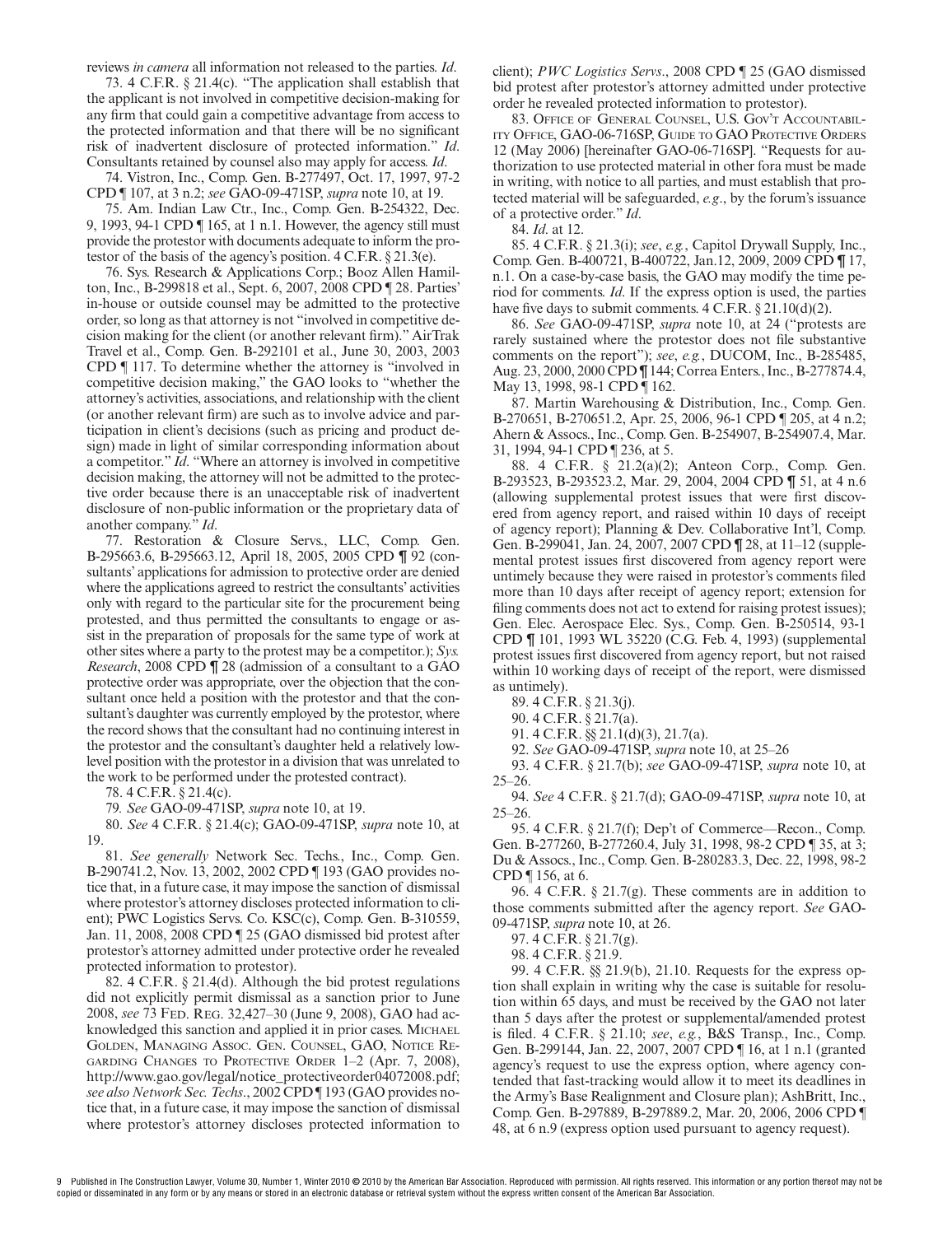reviews *in camera* all information not released to the parties. *Id*.

73. 4 C.F.R. § 21.4(c). "The application shall establish that the applicant is not involved in competitive decision-making for any firm that could gain a competitive advantage from access to the protected information and that there will be no significant risk of inadvertent disclosure of protected information." *Id*. Consultants retained by counsel also may apply for access. *Id*.

74. Vistron, Inc., Comp. Gen. B-277497, Oct. 17, 1997, 97-2 CPD ¶ 107, at 3 n.2; *see* GAO-09-471SP, *supra* note 10, at 19.

75. Am. Indian Law Ctr., Inc., Comp. Gen. B-254322, Dec. 9, 1993, 94-1 CPD ¶ 165, at 1 n.1. However, the agency still must provide the protestor with documents adequate to inform the protestor of the basis of the agency's position. 4 C.F.R. § 21.3(e).

76. Sys. Research & Applications Corp.; Booz Allen Hamilton, Inc., B-299818 et al., Sept. 6, 2007, 2008 CPD ¶ 28. Parties' in-house or outside counsel may be admitted to the protective order, so long as that attorney is not "involved in competitive decision making for the client (or another relevant firm)." AirTrak Travel et al., Comp. Gen. B-292101 et al., June 30, 2003, 2003 CPD ¶ 117. To determine whether the attorney is "involved in competitive decision making," the GAO looks to "whether the attorney's activities, associations, and relationship with the client (or another relevant firm) are such as to involve advice and participation in client's decisions (such as pricing and product design) made in light of similar corresponding information about a competitor." *Id*. "Where an attorney is involved in competitive decision making, the attorney will not be admitted to the protective order because there is an unacceptable risk of inadvertent disclosure of non-public information or the proprietary data of another company." *Id*.

77. Restoration & Closure Servs., LLC, Comp. Gen. B-295663.6, B-295663.12, April 18, 2005, 2005 CPD ¶ 92 (consultants' applications for admission to protective order are denied where the applications agreed to restrict the consultants' activities only with regard to the particular site for the procurement being protested, and thus permitted the consultants to engage or assist in the preparation of proposals for the same type of work at other sites where a party to the protest may be a competitor.); *Sys. Research*, 2008 CPD ¶ 28 (admission of a consultant to a GAO protective order was appropriate, over the objection that the consultant once held a position with the protestor and that the consultant's daughter was currently employed by the protestor, where the record shows that the consultant had no continuing interest in the protestor and the consultant's daughter held a relatively lowlevel position with the protestor in a division that was unrelated to the work to be performed under the protested contract).

78. 4 C.F.R. § 21.4(c).

79*. See* GAO-09-471SP, *supra* note 10, at 19.

80. *See* 4 C.F.R. § 21.4(c); GAO-09-471SP, *supra* note 10, at 19.

81. *See generally* Network Sec. Techs., Inc., Comp. Gen. B-290741.2, Nov. 13, 2002, 2002 CPD ¶ 193 (GAO provides notice that, in a future case, it may impose the sanction of dismissal where protestor's attorney discloses protected information to client); PWC Logistics Servs. Co. KSC(c), Comp. Gen. B-310559, Jan. 11, 2008, 2008 CPD ¶ 25 (GAO dismissed bid protest after protestor's attorney admitted under protective order he revealed protected information to protestor).

82. 4 C.F.R. § 21.4(d). Although the bid protest regulations did not explicitly permit dismissal as a sanction prior to June 2008, *see* 73 FED. REG. 32,427–30 (June 9, 2008), GAO had acknowledged this sanction and applied it in prior cases. MICHAEL GOLDEN, MANAGING ASSOC. GEN. COUNSEL, GAO, NOTICE RE-GARDING CHANGES TO PROTECTIVE ORDER 1–2 (Apr. 7, 2008), http://www.gao.gov/legal/notice\_protectiveorder04072008.pdf; *see also Network Sec. Techs*., 2002 CPD ¶ 193 (GAO provides notice that, in a future case, it may impose the sanction of dismissal where protestor's attorney discloses protected information to

client); *PWC Logistics Servs*., 2008 CPD ¶ 25 (GAO dismissed bid protest after protestor's attorney admitted under protective order he revealed protected information to protestor).

83. OFFICE OF GENERAL COUNSEL, U.S. GOV'T ACCOUNTABIL-ITY OFFICE, GAO-06-716SP, GUIDE TO GAO PROTECTIVE ORDERS 12 (May 2006) [hereinafter GAO-06-716SP]. "Requests for authorization to use protected material in other fora must be made in writing, with notice to all parties, and must establish that protected material will be safeguarded, *e.g*., by the forum's issuance of a protective order." *Id*.

84. *Id*. at 12.

85. 4 C.F.R. § 21.3(i); *see*, *e.g.*, Capitol Drywall Supply, Inc., Comp. Gen. B-400721, B-400722, Jan.12, 2009, 2009 CPD ¶ 17, n.1. On a case-by-case basis, the GAO may modify the time period for comments. *Id*. If the express option is used, the parties have five days to submit comments.  $4 \text{ C.F.R.} \$   $21.10(d)(2)$ .

86. *See* GAO-09-471SP, *supra* note 10, at 24 ("protests are rarely sustained where the protestor does not file substantive comments on the report"); *see*, *e.g.*, DUCOM, Inc., B-285485, Aug. 23, 2000, 2000 CPD ¶ 144; Correa Enters., Inc., B-277874.4, May 13, 1998, 98-1 CPD ¶ 162.

87. Martin Warehousing & Distribution, Inc., Comp. Gen. B-270651, B-270651.2, Apr. 25, 2006, 96-1 CPD ¶ 205, at 4 n.2; Ahern & Assocs., Inc., Comp. Gen. B-254907, B-254907.4, Mar. 31, 1994, 94-1 CPD ¶ 236, at 5.

88. 4 C.F.R. § 21.2(a)(2); Anteon Corp., Comp. Gen. B-293523, B-293523.2, Mar. 29, 2004, 2004 CPD ¶ 51, at 4 n.6 (allowing supplemental protest issues that were first discovered from agency report, and raised within 10 days of receipt of agency report); Planning & Dev. Collaborative Int'l, Comp. Gen. B-299041, Jan. 24, 2007, 2007 CPD ¶ 28, at 11–12 (supplemental protest issues first discovered from agency report were untimely because they were raised in protestor's comments filed more than 10 days after receipt of agency report; extension for filing comments does not act to extend for raising protest issues); Gen. Elec. Aerospace Elec. Sys., Comp. Gen. B-250514, 93-1 CPD ¶ 101, 1993 WL 35220 (C.G. Feb. 4, 1993) (supplemental protest issues first discovered from agency report, but not raised within 10 working days of receipt of the report, were dismissed as untimely).

89. 4 C.F.R. § 21.3(j).

90. 4 C.F.R. § 21.7(a).

91. 4 C.F.R. §§ 21.1(d)(3), 21.7(a).

92. *See* GAO-09-471SP, *supra* note 10, at 25–26

93. 4 C.F.R. § 21.7(b); *see* GAO-09-471SP, *supra* note 10, at  $25 - 26$ .

94. *See* 4 C.F.R. § 21.7(d); GAO-09-471SP, *supra* note 10, at 25–26.

95. 4 C.F.R. § 21.7(f); Dep't of Commerce—Recon., Comp. Gen. B-277260, B-277260.4, July 31, 1998, 98-2 CPD ¶ 35, at 3; Du & Assocs., Inc., Comp. Gen. B-280283.3, Dec. 22, 1998, 98-2 CPD ¶ 156, at 6.

96. 4 C.F.R. § 21.7(g). These comments are in addition to those comments submitted after the agency report. *See* GAO-09-471SP, *supra* note 10, at 26.

97. 4 C.F.R. § 21.7(g).

98. 4 C.F.R. § 21.9.

99. 4 C.F.R. §§ 21.9(b), 21.10. Requests for the express option shall explain in writing why the case is suitable for resolution within 65 days, and must be received by the GAO not later than 5 days after the protest or supplemental/amended protest is !led. 4 C.F.R. § 21.10; *see*, *e.g.*, B&S Transp., Inc., Comp. Gen. B-299144, Jan. 22, 2007, 2007 CPD ¶ 16, at 1 n.1 (granted agency's request to use the express option, where agency contended that fast-tracking would allow it to meet its deadlines in the Army's Base Realignment and Closure plan); AshBritt, Inc., Comp. Gen. B-297889, B-297889.2, Mar. 20, 2006, 2006 CPD ¶ 48, at 6 n.9 (express option used pursuant to agency request).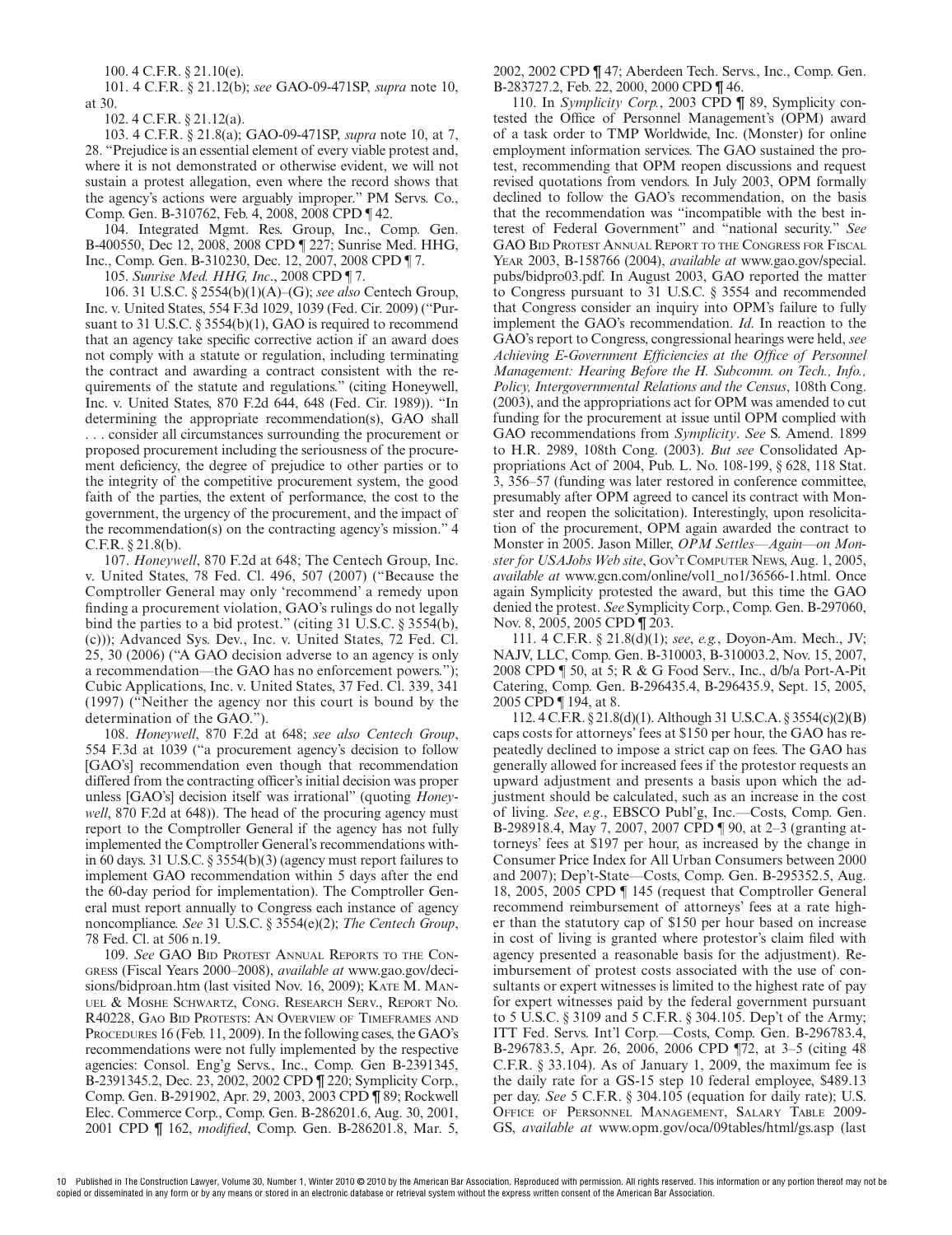100. 4 C.F.R. § 21.10(e).

101. 4 C.F.R. § 21.12(b); *see* GAO-09-471SP, *supra* note 10, at 30.

102. 4 C.F.R. § 21.12(a).

103. 4 C.F.R. § 21.8(a); GAO-09-471SP, *supra* note 10, at 7, 28. "Prejudice is an essential element of every viable protest and, where it is not demonstrated or otherwise evident, we will not sustain a protest allegation, even where the record shows that the agency's actions were arguably improper." PM Servs. Co., Comp. Gen. B-310762, Feb. 4, 2008, 2008 CPD ¶ 42.

104. Integrated Mgmt. Res. Group, Inc., Comp. Gen. B-400550, Dec 12, 2008, 2008 CPD ¶ 227; Sunrise Med. HHG, Inc., Comp. Gen. B-310230, Dec. 12, 2007, 2008 CPD ¶ 7.

105. *Sunrise Med. HHG, Inc*., 2008 CPD ¶ 7.

106. 31 U.S.C. § 2554(b)(1)(A)–(G); *see also* Centech Group, Inc. v. United States, 554 F.3d 1029, 1039 (Fed. Cir. 2009) ("Pursuant to 31 U.S.C. § 3554(b)(1), GAO is required to recommend that an agency take specific corrective action if an award does not comply with a statute or regulation, including terminating the contract and awarding a contract consistent with the requirements of the statute and regulations." (citing Honeywell, Inc. v. United States, 870 F.2d 644, 648 (Fed. Cir. 1989)). "In determining the appropriate recommendation(s), GAO shall . . . consider all circumstances surrounding the procurement or proposed procurement including the seriousness of the procurement deficiency, the degree of prejudice to other parties or to the integrity of the competitive procurement system, the good faith of the parties, the extent of performance, the cost to the government, the urgency of the procurement, and the impact of the recommendation(s) on the contracting agency's mission." 4 C.F.R. § 21.8(b).

107. *Honeywell*, 870 F.2d at 648; The Centech Group, Inc. v. United States, 78 Fed. Cl. 496, 507 (2007) ("Because the Comptroller General may only 'recommend' a remedy upon finding a procurement violation, GAO's rulings do not legally bind the parties to a bid protest." (citing 31 U.S.C. § 3554(b), (c))); Advanced Sys. Dev., Inc. v. United States, 72 Fed. Cl. 25, 30 (2006) ("A GAO decision adverse to an agency is only a recommendation—the GAO has no enforcement powers."); Cubic Applications, Inc. v. United States, 37 Fed. Cl. 339, 341 (1997) ("Neither the agency nor this court is bound by the determination of the GAO.").

108. *Honeywell*, 870 F.2d at 648; *see also Centech Group*, 554 F.3d at 1039 ("a procurement agency's decision to follow [GAO's] recommendation even though that recommendation differed from the contracting officer's initial decision was proper unless [GAO's] decision itself was irrational" (quoting *Honeywell*, 870 F.2d at 648)). The head of the procuring agency must report to the Comptroller General if the agency has not fully implemented the Comptroller General's recommendations within 60 days. 31 U.S.C. § 3554(b)(3) (agency must report failures to implement GAO recommendation within 5 days after the end the 60-day period for implementation). The Comptroller General must report annually to Congress each instance of agency noncompliance. *See* 31 U.S.C. § 3554(e)(2); *The Centech Group*, 78 Fed. Cl. at 506 n.19.

109. *See* GAO BID PROTEST ANNUAL REPORTS TO THE CON-GRESS (Fiscal Years 2000–2008), *available at* www.gao.gov/decisions/bidproan.htm (last visited Nov. 16, 2009); KATE M. MAN-UEL & MOSHE SCHWARTZ, CONG. RESEARCH SERV., REPORT NO. R40228, GAO BID PROTESTS: AN OVERVIEW OF TIMEFRAMES AND PROCEDURES 16 (Feb. 11, 2009). In the following cases, the GAO's recommendations were not fully implemented by the respective agencies: Consol. Eng'g Servs., Inc., Comp. Gen B-2391345, B-2391345.2, Dec. 23, 2002, 2002 CPD ¶ 220; Symplicity Corp., Comp. Gen. B-291902, Apr. 29, 2003, 2003 CPD ¶ 89; Rockwell Elec. Commerce Corp., Comp. Gen. B-286201.6, Aug. 30, 2001, 2001 CPD ¶ 162, *modified*, Comp. Gen. B-286201.8, Mar. 5, 2002, 2002 CPD ¶ 47; Aberdeen Tech. Servs., Inc., Comp. Gen. B-283727.2, Feb. 22, 2000, 2000 CPD ¶ 46.

110. In *Symplicity Corp.*, 2003 CPD ¶ 89, Symplicity contested the Office of Personnel Management's (OPM) award of a task order to TMP Worldwide, Inc. (Monster) for online employment information services. The GAO sustained the protest, recommending that OPM reopen discussions and request revised quotations from vendors. In July 2003, OPM formally declined to follow the GAO's recommendation, on the basis that the recommendation was "incompatible with the best interest of Federal Government" and "national security." *See* GAO BID PROTEST ANNUAL REPORT TO THE CONGRESS FOR FISCAL YEAR 2003, B-158766 (2004), *available at* www.gao.gov/special. pubs/bidpro03.pdf. In August 2003, GAO reported the matter to Congress pursuant to 31 U.S.C. § 3554 and recommended that Congress consider an inquiry into OPM's failure to fully implement the GAO's recommendation. *Id*. In reaction to the GAO's report to Congress, congressional hearings were held, *see* Achieving E-Government Efficiencies at the Office of Personnel *Management: Hearing Before the H. Subcomm. on Tech., Info., Policy, Intergovernmental Relations and the Census*, 108th Cong. (2003), and the appropriations act for OPM was amended to cut funding for the procurement at issue until OPM complied with GAO recommendations from *Symplicity*. *See* S. Amend. 1899 to H.R. 2989, 108th Cong. (2003). *But see* Consolidated Appropriations Act of 2004, Pub. L. No. 108-199, § 628, 118 Stat. 3, 356–57 (funding was later restored in conference committee, presumably after OPM agreed to cancel its contract with Monster and reopen the solicitation). Interestingly, upon resolicitation of the procurement, OPM again awarded the contract to Monster in 2005. Jason Miller, *OPM Settles—Again—on Monster for USAJobs Web site*, GOV'T COMPUTER NEWS, Aug. 1, 2005, *available at* www.gcn.com/online/vol1\_no1/36566-1.html. Once again Symplicity protested the award, but this time the GAO denied the protest. *See* Symplicity Corp., Comp. Gen. B-297060, Nov. 8, 2005, 2005 CPD ¶ 203.

111. 4 C.F.R. § 21.8(d)(1); *see*, *e.g.*, Doyon-Am. Mech., JV; NAJV, LLC, Comp. Gen. B-310003, B-310003.2, Nov. 15, 2007, 2008 CPD ¶ 50, at 5; R & G Food Serv., Inc., d/b/a Port-A-Pit Catering, Comp. Gen. B-296435.4, B-296435.9, Sept. 15, 2005, 2005 CPD ¶ 194, at 8.

112. 4 C.F.R. § 21.8(d)(1). Although 31 U.S.C.A. § 3554(c)(2)(B) caps costs for attorneys' fees at \$150 per hour, the GAO has repeatedly declined to impose a strict cap on fees. The GAO has generally allowed for increased fees if the protestor requests an upward adjustment and presents a basis upon which the adjustment should be calculated, such as an increase in the cost of living. *See*, *e.g*., EBSCO Publ'g, Inc.—Costs, Comp. Gen. B-298918.4, May 7, 2007, 2007 CPD ¶ 90, at 2–3 (granting attorneys' fees at \$197 per hour, as increased by the change in Consumer Price Index for All Urban Consumers between 2000 and 2007); Dep't-State—Costs, Comp. Gen. B-295352.5, Aug. 18, 2005, 2005 CPD ¶ 145 (request that Comptroller General recommend reimbursement of attorneys' fees at a rate higher than the statutory cap of \$150 per hour based on increase in cost of living is granted where protestor's claim filed with agency presented a reasonable basis for the adjustment). Reimbursement of protest costs associated with the use of consultants or expert witnesses is limited to the highest rate of pay for expert witnesses paid by the federal government pursuant to 5 U.S.C. § 3109 and 5 C.F.R. § 304.105. Dep't of the Army; ITT Fed. Servs. Int'l Corp.—Costs, Comp. Gen. B-296783.4, B-296783.5, Apr. 26, 2006, 2006 CPD ¶72, at 3–5 (citing 48 C.F.R. § 33.104). As of January 1, 2009, the maximum fee is the daily rate for a GS-15 step 10 federal employee, \$489.13 per day. *See* 5 C.F.R. § 304.105 (equation for daily rate); U.S. OFFICE OF PERSONNEL MANAGEMENT, SALARY TABLE 2009- GS, *available at* www.opm.gov/oca/09tables/html/gs.asp (last